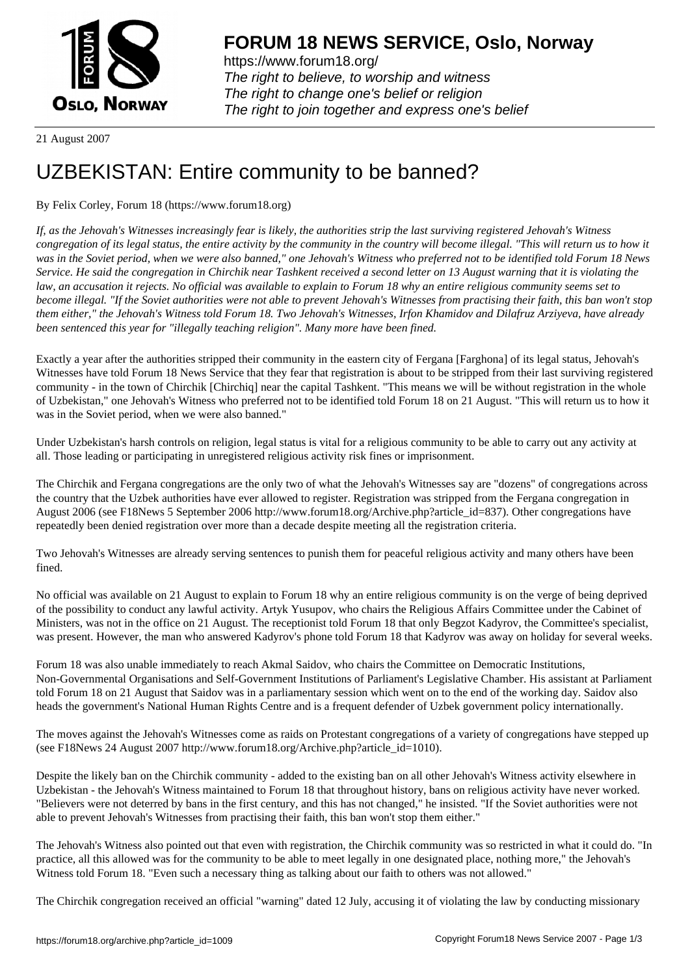

https://www.forum18.org/ The right to believe, to worship and witness The right to change one's belief or religion [The right to join together a](https://www.forum18.org/)nd express one's belief

21 August 2007

## [UZBEKISTAN:](https://www.forum18.org) Entire community to be banned?

## By Felix Corley, Forum 18 (https://www.forum18.org)

*If, as the Jehovah's Witnesses increasingly fear is likely, the authorities strip the last surviving registered Jehovah's Witness congregation of its legal status, the entire activity by the community in the country will become illegal. "This will return us to how it was in the Soviet period, when we were also banned," one Jehovah's Witness who preferred not to be identified told Forum 18 News Service. He said the congregation in Chirchik near Tashkent received a second letter on 13 August warning that it is violating the law, an accusation it rejects. No official was available to explain to Forum 18 why an entire religious community seems set to become illegal. "If the Soviet authorities were not able to prevent Jehovah's Witnesses from practising their faith, this ban won't stop them either," the Jehovah's Witness told Forum 18. Two Jehovah's Witnesses, Irfon Khamidov and Dilafruz Arziyeva, have already been sentenced this year for "illegally teaching religion". Many more have been fined.*

Exactly a year after the authorities stripped their community in the eastern city of Fergana [Farghona] of its legal status, Jehovah's Witnesses have told Forum 18 News Service that they fear that registration is about to be stripped from their last surviving registered community - in the town of Chirchik [Chirchiq] near the capital Tashkent. "This means we will be without registration in the whole of Uzbekistan," one Jehovah's Witness who preferred not to be identified told Forum 18 on 21 August. "This will return us to how it was in the Soviet period, when we were also banned."

Under Uzbekistan's harsh controls on religion, legal status is vital for a religious community to be able to carry out any activity at all. Those leading or participating in unregistered religious activity risk fines or imprisonment.

The Chirchik and Fergana congregations are the only two of what the Jehovah's Witnesses say are "dozens" of congregations across the country that the Uzbek authorities have ever allowed to register. Registration was stripped from the Fergana congregation in August 2006 (see F18News 5 September 2006 http://www.forum18.org/Archive.php?article\_id=837). Other congregations have repeatedly been denied registration over more than a decade despite meeting all the registration criteria.

Two Jehovah's Witnesses are already serving sentences to punish them for peaceful religious activity and many others have been fined.

No official was available on 21 August to explain to Forum 18 why an entire religious community is on the verge of being deprived of the possibility to conduct any lawful activity. Artyk Yusupov, who chairs the Religious Affairs Committee under the Cabinet of Ministers, was not in the office on 21 August. The receptionist told Forum 18 that only Begzot Kadyrov, the Committee's specialist, was present. However, the man who answered Kadyrov's phone told Forum 18 that Kadyrov was away on holiday for several weeks.

Forum 18 was also unable immediately to reach Akmal Saidov, who chairs the Committee on Democratic Institutions, Non-Governmental Organisations and Self-Government Institutions of Parliament's Legislative Chamber. His assistant at Parliament told Forum 18 on 21 August that Saidov was in a parliamentary session which went on to the end of the working day. Saidov also heads the government's National Human Rights Centre and is a frequent defender of Uzbek government policy internationally.

The moves against the Jehovah's Witnesses come as raids on Protestant congregations of a variety of congregations have stepped up (see F18News 24 August 2007 http://www.forum18.org/Archive.php?article\_id=1010).

Despite the likely ban on the Chirchik community - added to the existing ban on all other Jehovah's Witness activity elsewhere in Uzbekistan - the Jehovah's Witness maintained to Forum 18 that throughout history, bans on religious activity have never worked. "Believers were not deterred by bans in the first century, and this has not changed," he insisted. "If the Soviet authorities were not able to prevent Jehovah's Witnesses from practising their faith, this ban won't stop them either."

The Jehovah's Witness also pointed out that even with registration, the Chirchik community was so restricted in what it could do. "In practice, all this allowed was for the community to be able to meet legally in one designated place, nothing more," the Jehovah's Witness told Forum 18. "Even such a necessary thing as talking about our faith to others was not allowed."

The Chirchik congregation received an official "warning" dated 12 July, accusing it of violating the law by conducting missionary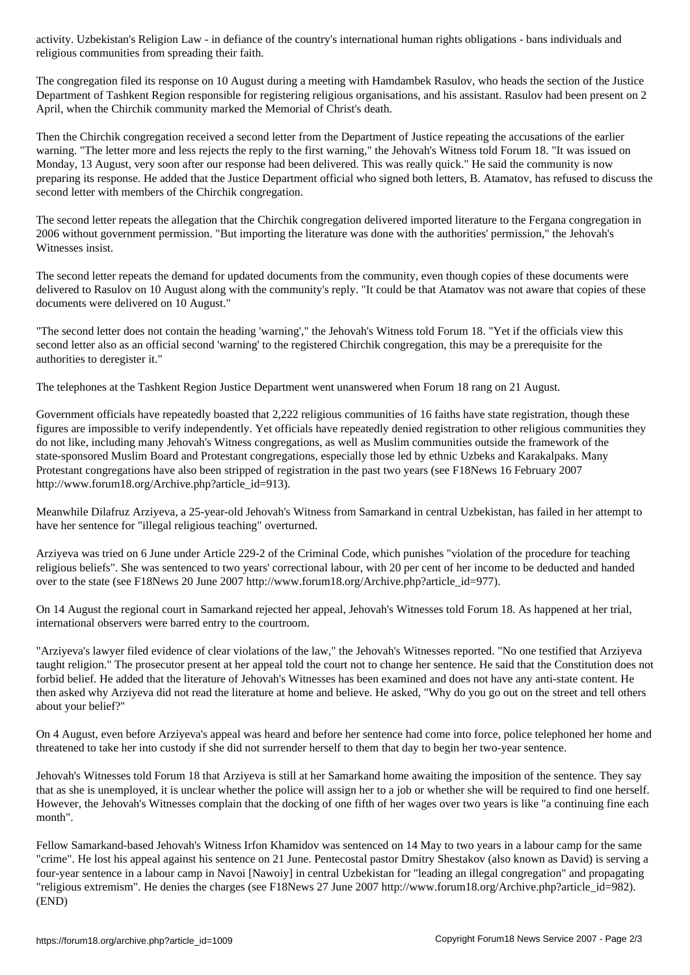religious communities from spreading their faith.

The congregation filed its response on 10 August during a meeting with Hamdambek Rasulov, who heads the section of the Justice Department of Tashkent Region responsible for registering religious organisations, and his assistant. Rasulov had been present on 2 April, when the Chirchik community marked the Memorial of Christ's death.

Then the Chirchik congregation received a second letter from the Department of Justice repeating the accusations of the earlier warning. "The letter more and less rejects the reply to the first warning," the Jehovah's Witness told Forum 18. "It was issued on Monday, 13 August, very soon after our response had been delivered. This was really quick." He said the community is now preparing its response. He added that the Justice Department official who signed both letters, B. Atamatov, has refused to discuss the second letter with members of the Chirchik congregation.

The second letter repeats the allegation that the Chirchik congregation delivered imported literature to the Fergana congregation in 2006 without government permission. "But importing the literature was done with the authorities' permission," the Jehovah's Witnesses insist.

The second letter repeats the demand for updated documents from the community, even though copies of these documents were delivered to Rasulov on 10 August along with the community's reply. "It could be that Atamatov was not aware that copies of these documents were delivered on 10 August."

"The second letter does not contain the heading 'warning'," the Jehovah's Witness told Forum 18. "Yet if the officials view this second letter also as an official second 'warning' to the registered Chirchik congregation, this may be a prerequisite for the authorities to deregister it."

The telephones at the Tashkent Region Justice Department went unanswered when Forum 18 rang on 21 August.

Government officials have repeatedly boasted that 2,222 religious communities of 16 faiths have state registration, though these figures are impossible to verify independently. Yet officials have repeatedly denied registration to other religious communities they do not like, including many Jehovah's Witness congregations, as well as Muslim communities outside the framework of the state-sponsored Muslim Board and Protestant congregations, especially those led by ethnic Uzbeks and Karakalpaks. Many Protestant congregations have also been stripped of registration in the past two years (see F18News 16 February 2007 http://www.forum18.org/Archive.php?article\_id=913).

Meanwhile Dilafruz Arziyeva, a 25-year-old Jehovah's Witness from Samarkand in central Uzbekistan, has failed in her attempt to have her sentence for "illegal religious teaching" overturned.

Arziyeva was tried on 6 June under Article 229-2 of the Criminal Code, which punishes "violation of the procedure for teaching religious beliefs". She was sentenced to two years' correctional labour, with 20 per cent of her income to be deducted and handed over to the state (see F18News 20 June 2007 http://www.forum18.org/Archive.php?article\_id=977).

On 14 August the regional court in Samarkand rejected her appeal, Jehovah's Witnesses told Forum 18. As happened at her trial, international observers were barred entry to the courtroom.

"Arziyeva's lawyer filed evidence of clear violations of the law," the Jehovah's Witnesses reported. "No one testified that Arziyeva taught religion." The prosecutor present at her appeal told the court not to change her sentence. He said that the Constitution does not forbid belief. He added that the literature of Jehovah's Witnesses has been examined and does not have any anti-state content. He then asked why Arziyeva did not read the literature at home and believe. He asked, "Why do you go out on the street and tell others about your belief?"

On 4 August, even before Arziyeva's appeal was heard and before her sentence had come into force, police telephoned her home and threatened to take her into custody if she did not surrender herself to them that day to begin her two-year sentence.

Jehovah's Witnesses told Forum 18 that Arziyeva is still at her Samarkand home awaiting the imposition of the sentence. They say that as she is unemployed, it is unclear whether the police will assign her to a job or whether she will be required to find one herself. However, the Jehovah's Witnesses complain that the docking of one fifth of her wages over two years is like "a continuing fine each month".

Fellow Samarkand-based Jehovah's Witness Irfon Khamidov was sentenced on 14 May to two years in a labour camp for the same "crime". He lost his appeal against his sentence on 21 June. Pentecostal pastor Dmitry Shestakov (also known as David) is serving a four-year sentence in a labour camp in Navoi [Nawoiy] in central Uzbekistan for "leading an illegal congregation" and propagating "religious extremism". He denies the charges (see F18News 27 June 2007 http://www.forum18.org/Archive.php?article\_id=982). (END)